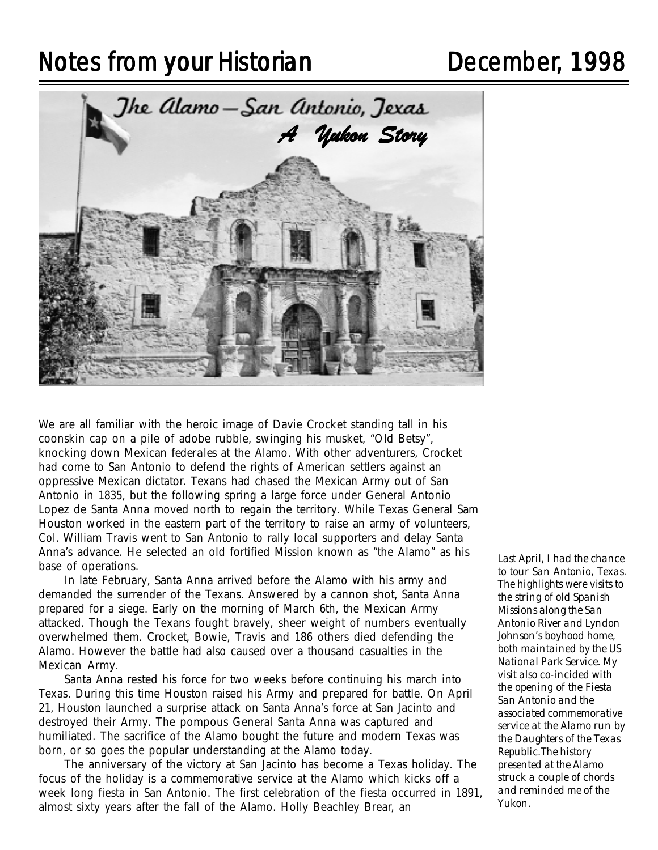# Notes from your Historian **Notes from your Historian** December, 1998



We are all familiar with the heroic image of Davie Crocket standing tall in his coonskin cap on a pile of adobe rubble, swinging his musket, "Old Betsy", knocking down Mexican *federales* at the Alamo. With other adventurers, Crocket had come to San Antonio to defend the rights of American settlers against an oppressive Mexican dictator. Texans had chased the Mexican Army out of San Antonio in 1835, but the following spring a large force under General Antonio Lopez de Santa Anna moved north to regain the territory. While Texas General Sam Houston worked in the eastern part of the territory to raise an army of volunteers, Col. William Travis went to San Antonio to rally local supporters and delay Santa Anna's advance. He selected an old fortified Mission known as "the Alamo" as his base of operations.

In late February, Santa Anna arrived before the Alamo with his army and demanded the surrender of the Texans. Answered by a cannon shot, Santa Anna prepared for a siege. Early on the morning of March 6th, the Mexican Army attacked. Though the Texans fought bravely, sheer weight of numbers eventually overwhelmed them. Crocket, Bowie, Travis and 186 others died defending the Alamo. However the battle had also caused over a thousand casualties in the Mexican Army.

Santa Anna rested his force for two weeks before continuing his march into Texas. During this time Houston raised his Army and prepared for battle. On April 21, Houston launched a surprise attack on Santa Anna's force at San Jacinto and destroyed their Army. The pompous General Santa Anna was captured and humiliated. The sacrifice of the Alamo bought the future and modern Texas was born, or so goes the popular understanding at the Alamo today.

The anniversary of the victory at San Jacinto has become a Texas holiday. The focus of the holiday is a commemorative service at the Alamo which kicks off a week long fiesta in San Antonio. The first celebration of the fiesta occurred in 1891, almost sixty years after the fall of the Alamo. Holly Beachley Brear, an

*Last April, I had the chance to tour San Antonio, Texas. The highlights were visits to the string of old Spanish Missions along the San Antonio River and Lyndon Johnson's boyhood home, both maintained by the US National Park Service. My visit also co-incided with the opening of the Fiesta San Antonio and the associated commemorative service at the Alamo run by the Daughters of the Texas Republic.The history presented at the Alamo struck a couple of chords and reminded me of the Yukon.*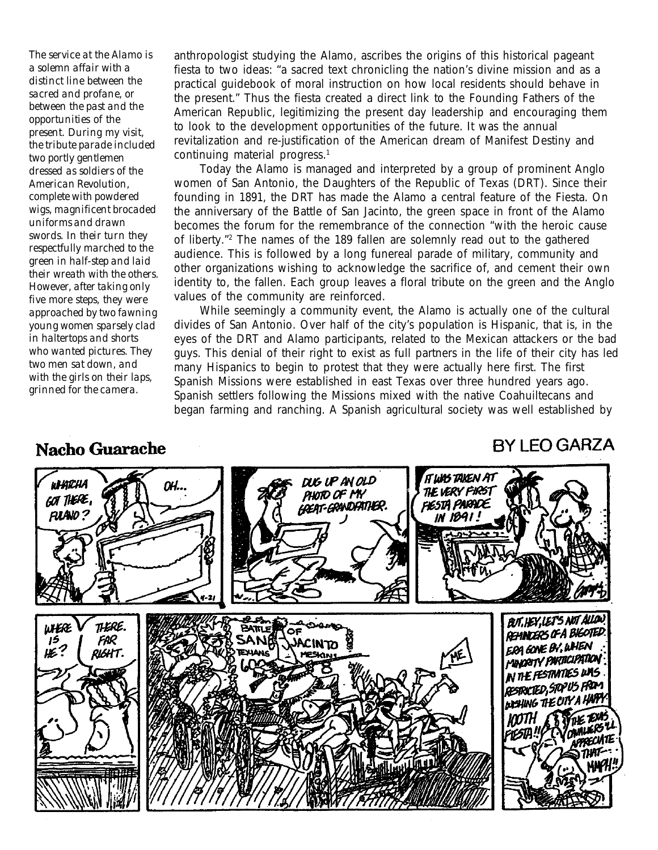*The service at the Alamo is a solemn affair with a distinct line between the sacred and profane, or between the past and the opportunities of the present. During my visit, the tribute parade included two portly gentlemen dressed as soldiers of the American Revolution, complete with powdered wigs, magnificent brocaded uniforms and drawn swords. In their turn they respectfully marched to the green in half-step and laid their wreath with the others. However, after taking only five more steps, they were approached by two fawning young women sparsely clad in haltertops and shorts who wanted pictures. They two men sat down, and with the girls on their laps, grinned for the camera.*

### anthropologist studying the Alamo, ascribes the origins of this historical pageant fiesta to two ideas: "a sacred text chronicling the nation's divine mission and as a practical guidebook of moral instruction on how local residents should behave in the present." Thus the fiesta created a direct link to the Founding Fathers of the American Republic, legitimizing the present day leadership and encouraging them to look to the development opportunities of the future. It was the annual revitalization and re-justification of the American dream of Manifest Destiny and continuing material progress.<sup>1</sup>

Today the Alamo is managed and interpreted by a group of prominent Anglo women of San Antonio, the Daughters of the Republic of Texas (DRT). Since their founding in 1891, the DRT has made the Alamo a central feature of the Fiesta. On the anniversary of the Battle of San Jacinto, the green space in front of the Alamo becomes the forum for the remembrance of the connection "with the heroic cause of liberty."2 The names of the 189 fallen are solemnly read out to the gathered audience. This is followed by a long funereal parade of military, community and other organizations wishing to acknowledge the sacrifice of, and cement their own identity to, the fallen. Each group leaves a floral tribute on the green and the Anglo values of the community are reinforced.

While seemingly a community event, the Alamo is actually one of the cultural divides of San Antonio. Over half of the city's population is Hispanic, that is, in the eyes of the DRT and Alamo participants, related to the Mexican attackers or the bad guys. This denial of their right to exist as full partners in the life of their city has led many Hispanics to begin to protest that they were actually here first. The first Spanish Missions were established in east Texas over three hundred years ago. Spanish settlers following the Missions mixed with the native Coahuiltecans and began farming and ranching. A Spanish agricultural society was well established by

## **Nacho Guarache**

# **BY LEO GARZA**

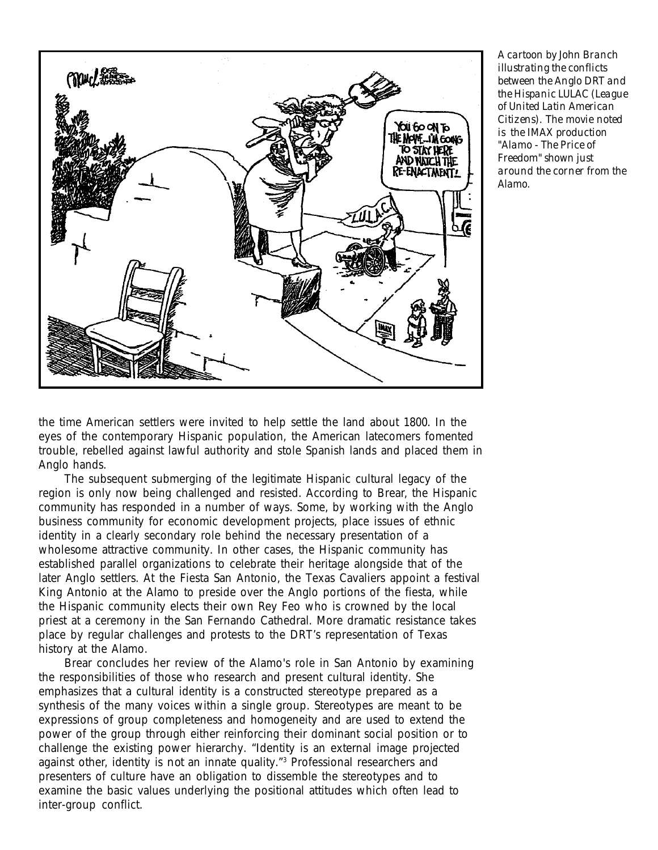

*A cartoon by John Branch illustrating the conflicts between the Anglo DRT and the Hispanic LULAC (League of United Latin American Citizens). The movie noted is the IMAX production "Alamo - The Price of Freedom" shown just around the corner from the Alamo.*

the time American settlers were invited to help settle the land about 1800. In the eyes of the contemporary Hispanic population, the American latecomers fomented trouble, rebelled against lawful authority and stole Spanish lands and placed them in Anglo hands.

The subsequent submerging of the legitimate Hispanic cultural legacy of the region is only now being challenged and resisted. According to Brear, the Hispanic community has responded in a number of ways. Some, by working with the Anglo business community for economic development projects, place issues of ethnic identity in a clearly secondary role behind the necessary presentation of a wholesome attractive community. In other cases, the Hispanic community has established parallel organizations to celebrate their heritage alongside that of the later Anglo settlers. At the Fiesta San Antonio, the Texas Cavaliers appoint a festival King Antonio at the Alamo to preside over the Anglo portions of the fiesta, while the Hispanic community elects their own Rey Feo who is crowned by the local priest at a ceremony in the San Fernando Cathedral. More dramatic resistance takes place by regular challenges and protests to the DRT's representation of Texas history at the Alamo.

Brear concludes her review of the Alamo's role in San Antonio by examining the responsibilities of those who research and present cultural identity. She emphasizes that a cultural identity is a constructed stereotype prepared as a synthesis of the many voices within a single group. Stereotypes are meant to be expressions of group completeness and homogeneity and are used to extend the power of the group through either reinforcing their dominant social position or to challenge the existing power hierarchy. "Identity is an external image projected against other, identity is *not* an innate quality."3 Professional researchers and presenters of culture have an obligation to dissemble the stereotypes and to examine the basic values underlying the positional attitudes which often lead to inter-group conflict.